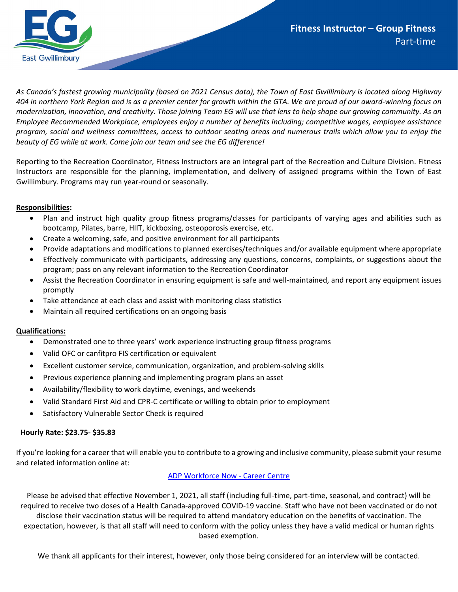

*As Canada's fastest growing municipality (based on 2021 Census data), the Town of East Gwillimbury is located along Highway 404 in northern York Region and is as a premier center for growth within the GTA. We are proud of our award-winning focus on modernization, innovation, and creativity. Those joining Team EG will use that lens to help shape our growing community. As an Employee Recommended Workplace, employees enjoy a number of benefits including; competitive wages, employee assistance program, social and wellness committees, access to outdoor seating areas and numerous trails which allow you to enjoy the beauty of EG while at work. Come join our team and see the EG difference!* 

Reporting to the Recreation Coordinator, Fitness Instructors are an integral part of the Recreation and Culture Division. Fitness Instructors are responsible for the planning, implementation, and delivery of assigned programs within the Town of East Gwillimbury. Programs may run year-round or seasonally.

## **Responsibilities:**

- Plan and instruct high quality group fitness programs/classes for participants of varying ages and abilities such as bootcamp, Pilates, barre, HIIT, kickboxing, osteoporosis exercise, etc.
- Create a welcoming, safe, and positive environment for all participants
- Provide adaptations and modifications to planned exercises/techniques and/or available equipment where appropriate
- Effectively communicate with participants, addressing any questions, concerns, complaints, or suggestions about the program; pass on any relevant information to the Recreation Coordinator
- Assist the Recreation Coordinator in ensuring equipment is safe and well-maintained, and report any equipment issues promptly
- Take attendance at each class and assist with monitoring class statistics
- Maintain all required certifications on an ongoing basis

## **Qualifications:**

- Demonstrated one to three years' work experience instructing group fitness programs
- Valid OFC or canfitpro FIS certification or equivalent
- Excellent customer service, communication, organization, and problem-solving skills
- Previous experience planning and implementing program plans an asset
- Availability/flexibility to work daytime, evenings, and weekends
- Valid Standard First Aid and CPR-C certificate or willing to obtain prior to employment
- Satisfactory Vulnerable Sector Check is required

## **Hourly Rate: \$23.75- \$35.83**

If you're looking for a career that will enable you to contribute to a growing and inclusive community, please submit your resume and related information online at:

## [ADP Workforce Now -](https://workforcenow.adp.com/mascsr/default/mdf/recruitment/recruitment.html?cid=f5060f66-1f92-430e-b67b-c5e16cd9318f&ccId=19000101_000001&type=JS&lang=en_CA) Career Centre

Please be advised that effective November 1, 2021, all staff (including full-time, part-time, seasonal, and contract) will be required to receive two doses of a Health Canada-approved COVID-19 vaccine. Staff who have not been vaccinated or do not disclose their vaccination status will be required to attend mandatory education on the benefits of vaccination. The expectation, however, is that all staff will need to conform with the policy unless they have a valid medical or human rights based exemption.

We thank all applicants for their interest, however, only those being considered for an interview will be contacted.